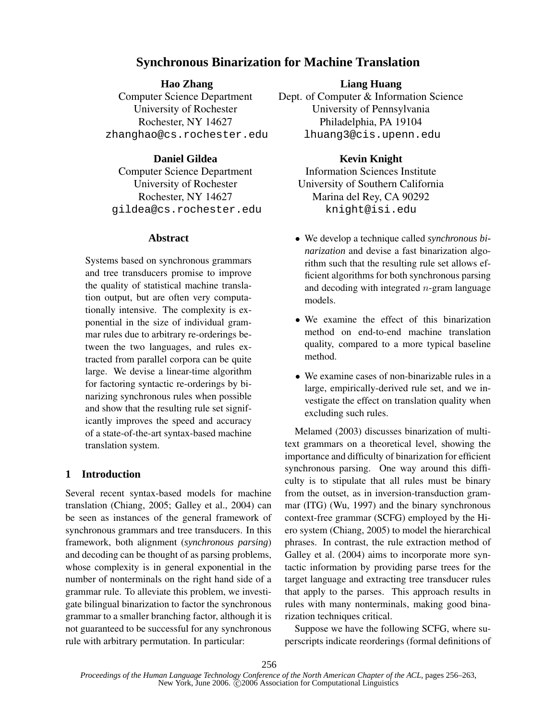# **Synchronous Binarization for Machine Translation**

### **Hao Zhang**

Computer Science Department University of Rochester Rochester, NY 14627 zhanghao@cs.rochester.edu

## **Daniel Gildea**

Computer Science Department University of Rochester Rochester, NY 14627 gildea@cs.rochester.edu

## **Abstract**

Systems based on synchronous grammars and tree transducers promise to improve the quality of statistical machine translation output, but are often very computationally intensive. The complexity is exponential in the size of individual grammar rules due to arbitrary re-orderings between the two languages, and rules extracted from parallel corpora can be quite large. We devise a linear-time algorithm for factoring syntactic re-orderings by binarizing synchronous rules when possible and show that the resulting rule set significantly improves the speed and accuracy of a state-of-the-art syntax-based machine translation system.

## **1 Introduction**

Several recent syntax-based models for machine translation (Chiang, 2005; Galley et al., 2004) can be seen as instances of the general framework of synchronous grammars and tree transducers. In this framework, both alignment (*synchronous parsing*) and decoding can be thought of as parsing problems, whose complexity is in general exponential in the number of nonterminals on the right hand side of a grammar rule. To alleviate this problem, we investigate bilingual binarization to factor the synchronous grammar to a smaller branching factor, although it is not guaranteed to be successful for any synchronous rule with arbitrary permutation. In particular:

## **Liang Huang**

Dept. of Computer & Information Science University of Pennsylvania Philadelphia, PA 19104 lhuang3@cis.upenn.edu

## **Kevin Knight**

Information Sciences Institute University of Southern California Marina del Rey, CA 90292 knight@isi.edu

- We develop a technique called *synchronous binarization* and devise a fast binarization algorithm such that the resulting rule set allows efficient algorithms for both synchronous parsing and decoding with integrated  $n$ -gram language models.
- We examine the effect of this binarization method on end-to-end machine translation quality, compared to a more typical baseline method.
- We examine cases of non-binarizable rules in a large, empirically-derived rule set, and we investigate the effect on translation quality when excluding such rules.

Melamed (2003) discusses binarization of multitext grammars on a theoretical level, showing the importance and difficulty of binarization for efficient synchronous parsing. One way around this difficulty is to stipulate that all rules must be binary from the outset, as in inversion-transduction grammar (ITG) (Wu, 1997) and the binary synchronous context-free grammar (SCFG) employed by the Hiero system (Chiang, 2005) to model the hierarchical phrases. In contrast, the rule extraction method of Galley et al. (2004) aims to incorporate more syntactic information by providing parse trees for the target language and extracting tree transducer rules that apply to the parses. This approach results in rules with many nonterminals, making good binarization techniques critical.

Suppose we have the following SCFG, where superscripts indicate reorderings (formal definitions of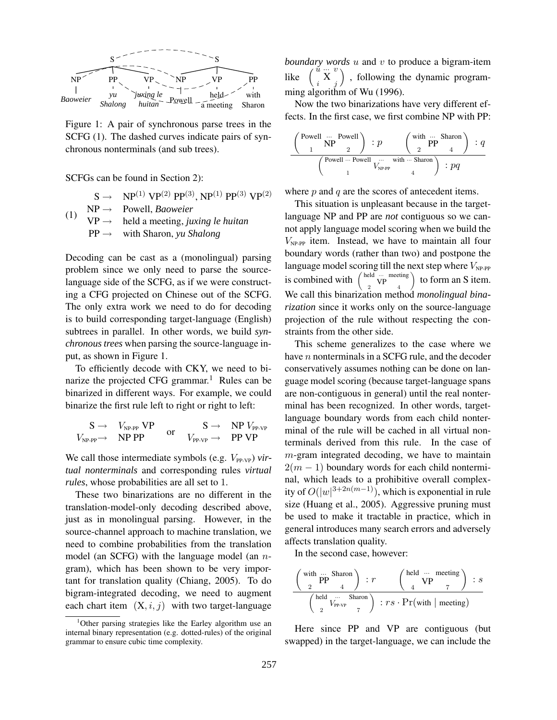

Figure 1: A pair of synchronous parse trees in the SCFG (1). The dashed curves indicate pairs of synchronous nonterminals (and sub trees).

SCFGs can be found in Section 2):

- $S \rightarrow \quad NP^{(1)} VP^{(2)} PP^{(3)}, NP^{(1)} PP^{(3)} VP^{(2)}$
- (1) NP → Powell, *Baoweier*
- $VP \rightarrow$  held a meeting, *juxing le huitan* PP → with Sharon, *yu Shalong*

Decoding can be cast as a (monolingual) parsing problem since we only need to parse the sourcelanguage side of the SCFG, as if we were constructing a CFG projected on Chinese out of the SCFG. The only extra work we need to do for decoding is to build corresponding target-language (English) subtrees in parallel. In other words, we build *synchronous trees* when parsing the source-language input, as shown in Figure 1.

To efficiently decode with CKY, we need to binarize the projected CFG grammar.<sup>1</sup> Rules can be binarized in different ways. For example, we could binarize the first rule left to right or right to left:

$$
\begin{array}{ccc}\nS \to & V_{\text{NP-PP}} \text{ VP} & S \to & \text{NP } V_{\text{PP-VP}} \\
V_{\text{NP-PP}} \to & \text{NP PP} & \text{or} & V_{\text{PP-VP}} \to & \text{PP VP}\n\end{array}
$$

We call those intermediate symbols (e.g.  $V_{PP-VP}$ ) *virtual nonterminals* and corresponding rules *virtual rules*, whose probabilities are all set to 1.

These two binarizations are no different in the translation-model-only decoding described above, just as in monolingual parsing. However, in the source-channel approach to machine translation, we need to combine probabilities from the translation model (an SCFG) with the language model (an ngram), which has been shown to be very important for translation quality (Chiang, 2005). To do bigram-integrated decoding, we need to augment each chart item  $(X, i, j)$  with two target-language *boundary words* u and v to produce a bigram-item like  $\begin{pmatrix} u & v \\ i & X \end{pmatrix}$  , following the dynamic programming algorithm of Wu (1996).

Now the two binarizations have very different effects. In the first case, we first combine NP with PP:

$$
\frac{\left(\begin{array}{cc}\text{Powell} & \cdots & \text{Powell} \\ \text{1} & 2 \end{array}\right) : p \qquad \left(\begin{array}{cc}\text{with} & \cdots & \text{Sharon} \\ \text{2} & 4 \end{array}\right) : q}{\left(\begin{array}{cc}\text{Powell} & \cdots & \text{Swell} \\ \text{1} & V_{\text{NP-PP}} & 4 \end{array}\right) : pq}
$$

where  $p$  and  $q$  are the scores of antecedent items.

This situation is unpleasant because in the targetlanguage NP and PP are *not* contiguous so we cannot apply language model scoring when we build the  $V_{NP-PP}$  item. Instead, we have to maintain all four boundary words (rather than two) and postpone the language model scoring till the next step where  $V_{NP-PP}$ is combined with  $\begin{pmatrix} \text{held} & \cdots & \text{meeting} \\ 2 & \text{VP} & 4 \end{pmatrix}$  $\int$  to form an S item. We call this binarization method *monolingual binarization* since it works only on the source-language projection of the rule without respecting the constraints from the other side.

This scheme generalizes to the case where we have  $n$  nonterminals in a SCFG rule, and the decoder conservatively assumes nothing can be done on language model scoring (because target-language spans are non-contiguous in general) until the real nonterminal has been recognized. In other words, targetlanguage boundary words from each child nonterminal of the rule will be cached in all virtual nonterminals derived from this rule. In the case of m-gram integrated decoding, we have to maintain  $2(m - 1)$  boundary words for each child nonterminal, which leads to a prohibitive overall complexity of  $O(|w|^{3+2n(m-1)})$ , which is exponential in rule size (Huang et al., 2005). Aggressive pruning must be used to make it tractable in practice, which in general introduces many search errors and adversely affects translation quality.

In the second case, however:

$$
\frac{\left(\begin{array}{c}\text{with } \dots \text{ Sharon} \\ 2\end{array}\right) : r \qquad \left(\begin{array}{c}\text{held } \dots \text{ meeting} \\ 4\end{array}\right) : s}{\left(\begin{array}{c}\text{held } \dots \text{ Stanford} \\ 2\end{array}\right) : rs \cdot \Pr(\text{with } |\text{ meeting})}
$$

Here since PP and VP are contiguous (but swapped) in the target-language, we can include the

 $1$ Other parsing strategies like the Earley algorithm use an internal binary representation (e.g. dotted-rules) of the original grammar to ensure cubic time complexity.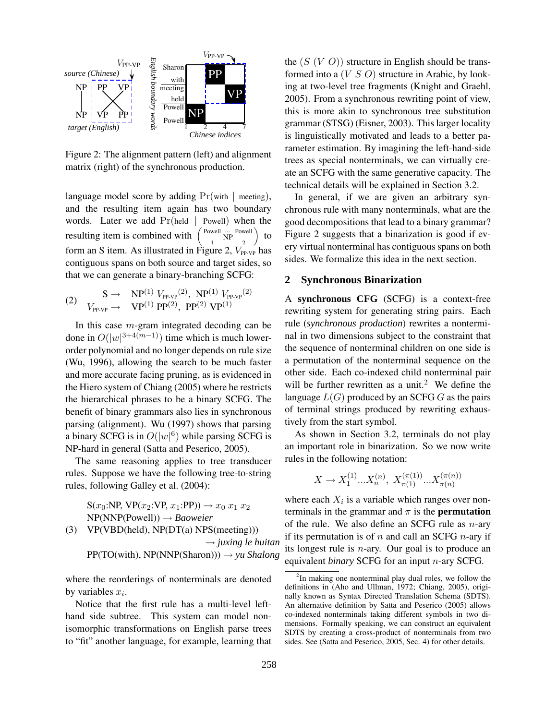

Figure 2: The alignment pattern (left) and alignment matrix (right) of the synchronous production.

language model score by adding  $Pr(\text{with} \mid \text{ meeting}),$ and the resulting item again has two boundary words. Later we add  $Pr(held \mid Power)$  when the resulting item is combined with Powell  $\frac{1}{N}$  Powell  $\frac{1}{2}$  $\setminus$ to form an S item. As illustrated in Figure 2,  $V_{PP-VP}$  has contiguous spans on both source and target sides, so that we can generate a binary-branching SCFG:

(2) 
$$
S \rightarrow NP^{(1)} V_{PP\text{-VP}}^{(2)}, NP^{(1)} V_{PP\text{-VP}}^{(2)}
$$

$$
V_{PP\text{-VP}} \rightarrow VP^{(1)} PP^{(2)}, PP^{(2)} VP^{(1)}
$$

In this case m-gram integrated decoding can be done in  $O(|w|^{3+4(m-1)})$  time which is much lowerorder polynomial and no longer depends on rule size (Wu, 1996), allowing the search to be much faster and more accurate facing pruning, as is evidenced in the Hiero system of Chiang (2005) where he restricts the hierarchical phrases to be a binary SCFG. The benefit of binary grammars also lies in synchronous parsing (alignment). Wu (1997) shows that parsing a binary SCFG is in  $O(|w|^6)$  while parsing SCFG is NP-hard in general (Satta and Peserico, 2005).

The same reasoning applies to tree transducer rules. Suppose we have the following tree-to-string rules, following Galley et al. (2004):

$$
S(x_0: NP, VP(x_2: VP, x_1: PP)) → x_0 x_1 x_2
$$
  
NP(NNP(Powell)) → *Baoweier*  
(3) VP(VBD(held), NP(DT(a) NPS(mecting))) → *juxing le huitan*  
PP(TO(with), NP(NNP(Sharon))) → *yu Shalong*

where the reorderings of nonterminals are denoted by variables  $x_i$ .

Notice that the first rule has a multi-level lefthand side subtree. This system can model nonisomorphic transformations on English parse trees to "fit" another language, for example, learning that the  $(S (V O))$  structure in English should be transformed into a  $(V S O)$  structure in Arabic, by looking at two-level tree fragments (Knight and Graehl, 2005). From a synchronous rewriting point of view, this is more akin to synchronous tree substitution grammar (STSG) (Eisner, 2003). This larger locality is linguistically motivated and leads to a better parameter estimation. By imagining the left-hand-side trees as special nonterminals, we can virtually create an SCFG with the same generative capacity. The technical details will be explained in Section 3.2.

In general, if we are given an arbitrary synchronous rule with many nonterminals, what are the good decompositions that lead to a binary grammar? Figure 2 suggests that a binarization is good if every virtual nonterminal has contiguousspans on both sides. We formalize this idea in the next section.

### **2 Synchronous Binarization**

A **synchronous CFG** (SCFG) is a context-free rewriting system for generating string pairs. Each rule (*synchronous production*) rewrites a nonterminal in two dimensions subject to the constraint that the sequence of nonterminal children on one side is a permutation of the nonterminal sequence on the other side. Each co-indexed child nonterminal pair will be further rewritten as a unit.<sup>2</sup> We define the language  $L(G)$  produced by an SCFG G as the pairs of terminal strings produced by rewriting exhaustively from the start symbol.

As shown in Section 3.2, terminals do not play an important role in binarization. So we now write rules in the following notation:

$$
X \to X_1^{(1)}...X_n^{(n)}, X_{\pi(1)}^{(\pi(1))}...X_{\pi(n)}^{(\pi(n))}
$$

where each  $X_i$  is a variable which ranges over nonterminals in the grammar and  $\pi$  is the **permutation** of the rule. We also define an SCFG rule as  $n$ -ary if its permutation is of  $n$  and call an SCFG  $n$ -ary if its longest rule is  $n$ -ary. Our goal is to produce an equivalent *binary* SCFG for an input n-ary SCFG.

 $2$ In making one nonterminal play dual roles, we follow the definitions in (Aho and Ullman, 1972; Chiang, 2005), originally known as Syntax Directed Translation Schema (SDTS). An alternative definition by Satta and Peserico (2005) allows co-indexed nonterminals taking different symbols in two dimensions. Formally speaking, we can construct an equivalent SDTS by creating a cross-product of nonterminals from two sides. See (Satta and Peserico, 2005, Sec. 4) for other details.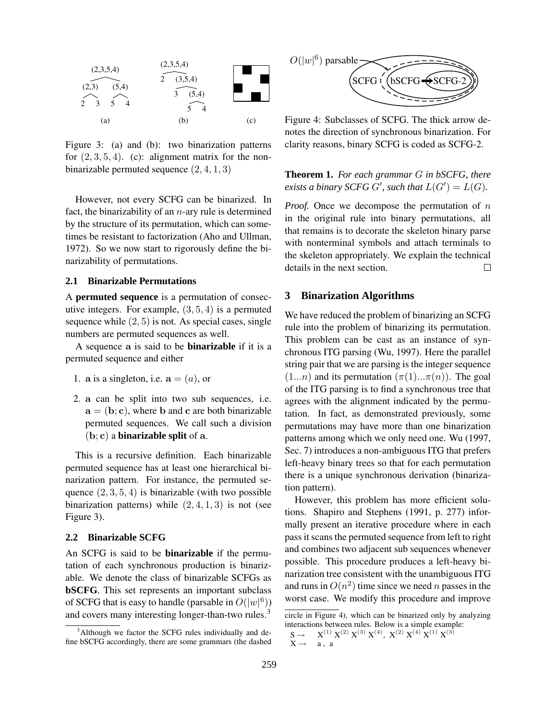

Figure 3: (a) and (b): two binarization patterns for  $(2, 3, 5, 4)$ . (c): alignment matrix for the nonbinarizable permuted sequence (2, 4, 1, 3)

However, not every SCFG can be binarized. In fact, the binarizability of an  $n$ -ary rule is determined by the structure of its permutation, which can sometimes be resistant to factorization (Aho and Ullman, 1972). So we now start to rigorously define the binarizability of permutations.

### **2.1 Binarizable Permutations**

A **permuted sequence** is a permutation of consecutive integers. For example,  $(3, 5, 4)$  is a permuted sequence while  $(2, 5)$  is not. As special cases, single numbers are permuted sequences as well.

A sequence a is said to be **binarizable** if it is a permuted sequence and either

- 1. a is a singleton, i.e.  $\mathbf{a} = (a)$ , or
- 2. a can be split into two sub sequences, i.e.  $a = (b; c)$ , where b and c are both binarizable permuted sequences. We call such a division (b; c) a **binarizable split** of a.

This is a recursive definition. Each binarizable permuted sequence has at least one hierarchical binarization pattern. For instance, the permuted sequence  $(2, 3, 5, 4)$  is binarizable (with two possible binarization patterns) while  $(2, 4, 1, 3)$  is not (see Figure 3).

#### **2.2 Binarizable SCFG**

An SCFG is said to be **binarizable** if the permutation of each synchronous production is binarizable. We denote the class of binarizable SCFGs as **bSCFG**. This set represents an important subclass of SCFG that is easy to handle (parsable in  $O(|w|^6)$ ) and covers many interesting longer-than-two rules.<sup>3</sup>



Figure 4: Subclasses of SCFG. The thick arrow denotes the direction of synchronous binarization. For clarity reasons, binary SCFG is coded as SCFG-2.

**Theorem 1.** *For each grammar* G *in bSCFG, there exists a binary SCFG*  $G'$ *, such that*  $L(G') = L(G)$ *.* 

*Proof.* Once we decompose the permutation of n in the original rule into binary permutations, all that remains is to decorate the skeleton binary parse with nonterminal symbols and attach terminals to the skeleton appropriately. We explain the technical details in the next section.  $\Box$ 

### **3 Binarization Algorithms**

We have reduced the problem of binarizing an SCFG rule into the problem of binarizing its permutation. This problem can be cast as an instance of synchronous ITG parsing (Wu, 1997). Here the parallel string pair that we are parsing is the integer sequence  $(1...n)$  and its permutation  $(\pi(1)... \pi(n))$ . The goal of the ITG parsing is to find a synchronous tree that agrees with the alignment indicated by the permutation. In fact, as demonstrated previously, some permutations may have more than one binarization patterns among which we only need one. Wu (1997, Sec. 7) introduces a non-ambiguous ITG that prefers left-heavy binary trees so that for each permutation there is a unique synchronous derivation (binarization pattern).

However, this problem has more efficient solutions. Shapiro and Stephens (1991, p. 277) informally present an iterative procedure where in each pass it scans the permuted sequence from left to right and combines two adjacent sub sequences whenever possible. This procedure produces a left-heavy binarization tree consistent with the unambiguous ITG and runs in  $O(n^2)$  time since we need n passes in the worst case. We modify this procedure and improve

<sup>&</sup>lt;sup>3</sup>Although we factor the SCFG rules individually and define bSCFG accordingly, there are some grammars (the dashed

circle in Figure 4), which can be binarized only by analyzing interactions between rules. Below is a simple example:

 $S \rightarrow X^{(1)} X^{(2)} X^{(3)} X^{(4)}, X^{(2)} X^{(4)} X^{(1)} X^{(3)}$  $X \rightarrow$  a, a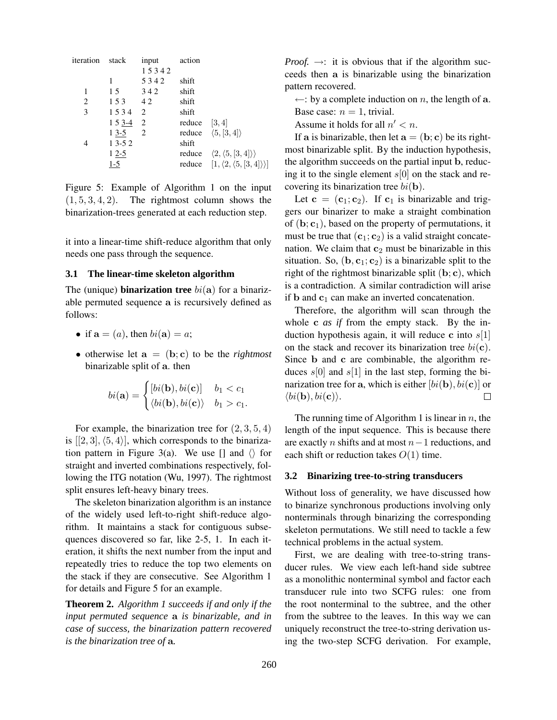| iteration stack |          | input          | action          |                                                            |
|-----------------|----------|----------------|-----------------|------------------------------------------------------------|
|                 |          | 15342          |                 |                                                            |
|                 | 1        | 5342           | shift           |                                                            |
| 1               | 15       | 342            | shift           |                                                            |
| 2               | 153 42   |                | shift           |                                                            |
| 3               | 1534 2   |                | shift           |                                                            |
|                 | $153-42$ |                | reduce $[3, 4]$ |                                                            |
|                 | $13-5$   | $\overline{2}$ |                 | reduce $\langle 5, [3, 4] \rangle$                         |
| 4               | $13-52$  |                | shift           |                                                            |
|                 | $12-5$   |                |                 | reduce $\langle 2, \langle 5, [3, 4] \rangle \rangle$      |
|                 | $1-5$    |                |                 | reduce $[1, \langle 2, \langle 5, [3, 4] \rangle \rangle]$ |
|                 |          |                |                 |                                                            |

Figure 5: Example of Algorithm 1 on the input  $(1, 5, 3, 4, 2)$ . The rightmost column shows the binarization-trees generated at each reduction step.

it into a linear-time shift-reduce algorithm that only needs one pass through the sequence.

### **3.1 The linear-time skeleton algorithm**

The (unique) **binarization tree**  $bi(\mathbf{a})$  for a binarizable permuted sequence a is recursively defined as follows:

- if  $\mathbf{a} = (a)$ , then  $bi(\mathbf{a}) = a$ ;
- otherwise let  $\mathbf{a} = (\mathbf{b}; \mathbf{c})$  to be the *rightmost* binarizable split of a. then

$$
bi(\mathbf{a}) = \begin{cases} [bi(\mathbf{b}), bi(\mathbf{c})] & b_1 < c_1 \\ \langle bi(\mathbf{b}), bi(\mathbf{c}) \rangle & b_1 > c_1. \end{cases}
$$

For example, the binarization tree for  $(2, 3, 5, 4)$ is  $[2, 3], \langle 5, 4 \rangle$ , which corresponds to the binarization pattern in Figure 3(a). We use  $\Box$  and  $\Diamond$  for straight and inverted combinations respectively, following the ITG notation (Wu, 1997). The rightmost split ensures left-heavy binary trees.

The skeleton binarization algorithm is an instance of the widely used left-to-right shift-reduce algorithm. It maintains a stack for contiguous subsequences discovered so far, like 2-5, 1. In each iteration, it shifts the next number from the input and repeatedly tries to reduce the top two elements on the stack if they are consecutive. See Algorithm 1 for details and Figure 5 for an example.

**Theorem 2.** *Algorithm 1 succeeds if and only if the input permuted sequence* a *is binarizable, and in case of success, the binarization pattern recovered is the binarization tree of* a*.*

*Proof.*  $\rightarrow$ : it is obvious that if the algorithm succeeds then a is binarizable using the binarization pattern recovered.

 $\leftarrow$ : by a complete induction on n, the length of a. Base case:  $n = 1$ , trivial.

Assume it holds for all  $n' < n$ .

If a is binarizable, then let  $\mathbf{a} = (\mathbf{b}; \mathbf{c})$  be its rightmost binarizable split. By the induction hypothesis, the algorithm succeeds on the partial input b, reducing it to the single element  $s[0]$  on the stack and recovering its binarization tree  $bi(\mathbf{b})$ .

Let  $c = (c_1;c_2)$ . If  $c_1$  is binarizable and triggers our binarizer to make a straight combination of  $(b; c_1)$ , based on the property of permutations, it must be true that  $(c_1; c_2)$  is a valid straight concatenation. We claim that  $c_2$  must be binarizable in this situation. So,  $(b, c_1; c_2)$  is a binarizable split to the right of the rightmost binarizable split  $(b; c)$ , which is a contradiction. A similar contradiction will arise if b and  $c_1$  can make an inverted concatenation.

Therefore, the algorithm will scan through the whole c *as if* from the empty stack. By the induction hypothesis again, it will reduce c into  $s[1]$ on the stack and recover its binarization tree  $bi(c)$ . Since b and c are combinable, the algorithm reduces  $s[0]$  and  $s[1]$  in the last step, forming the binarization tree for a, which is either  $[bi(\mathbf{b}), bi(\mathbf{c})]$  or  $\langle bi(\mathbf{b}), bi(\mathbf{c})\rangle$ .  $\Box$ 

The running time of Algorithm 1 is linear in  $n$ , the length of the input sequence. This is because there are exactly *n* shifts and at most  $n-1$  reductions, and each shift or reduction takes  $O(1)$  time.

## **3.2 Binarizing tree-to-string transducers**

Without loss of generality, we have discussed how to binarize synchronous productions involving only nonterminals through binarizing the corresponding skeleton permutations. We still need to tackle a few technical problems in the actual system.

First, we are dealing with tree-to-string transducer rules. We view each left-hand side subtree as a monolithic nonterminal symbol and factor each transducer rule into two SCFG rules: one from the root nonterminal to the subtree, and the other from the subtree to the leaves. In this way we can uniquely reconstruct the tree-to-string derivation using the two-step SCFG derivation. For example,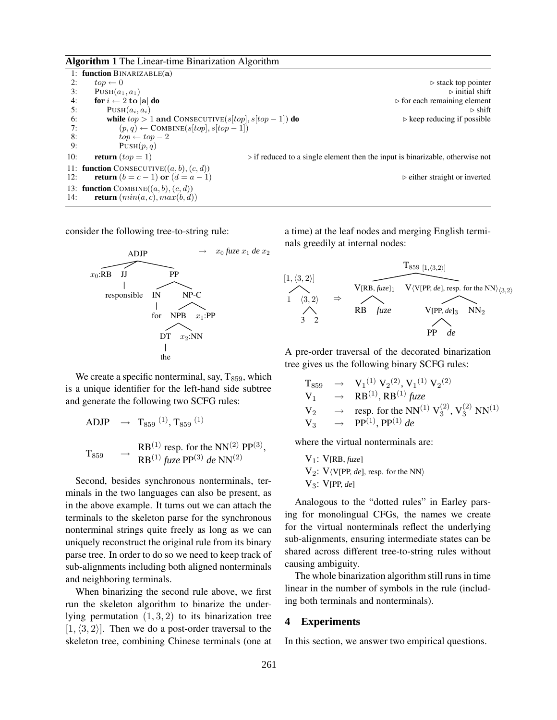**Algorithm 1** The Linear-time Binarization Algorithm

|     | 1: function BINARIZABLE(a)                             |                                                                                              |
|-----|--------------------------------------------------------|----------------------------------------------------------------------------------------------|
| 2:  | $top \leftarrow 0$                                     | $\triangleright$ stack top pointer                                                           |
| 3:  | $PUSH(a_1, a_1)$                                       | $\triangleright$ initial shift                                                               |
| 4:  | for $i \leftarrow 2$ to  a  do                         | $\triangleright$ for each remaining element                                                  |
| 5:  | $PUSH(a_i, a_i)$                                       | $\triangleright$ shift                                                                       |
| 6:  | while $top > 1$ and CONSECUTIVE(s[top], s[top - 1]) do | $\triangleright$ keep reducing if possible                                                   |
| 7:  | $(p, q) \leftarrow \text{COMBINE}(s[top], s[top - 1])$ |                                                                                              |
| 8:  | $top \leftarrow top - 2$                               |                                                                                              |
| 9:  | PUSH(p,q)                                              |                                                                                              |
| 10: | <b>return</b> $(top = 1)$                              | $\triangleright$ if reduced to a single element then the input is binarizable, otherwise not |
|     | 11: <b>function</b> CONSECUTIVE( $(a, b), (c, d)$ )    |                                                                                              |
| 12: | <b>return</b> $(b = c - 1)$ or $(d = a - 1)$           | $\triangleright$ either straight or inverted                                                 |
|     | 13: function COMBINE( $(a, b), (c, d)$ )               |                                                                                              |
| 14: | <b>return</b> $(min(a, c), max(b, d))$                 |                                                                                              |

consider the following tree-to-string rule:



We create a specific nonterminal, say,  $T_{859}$ , which is a unique identifier for the left-hand side subtree and generate the following two SCFG rules:

ADJP 
$$
\rightarrow
$$
 T<sub>859</sub><sup>(1)</sup>, T<sub>859</sub><sup>(1)</sup>  
\nT<sub>859</sub>  $\rightarrow$  RB<sup>(1)</sup> resp. for the NN<sup>(2)</sup> PP<sup>(3)</sup>,  
\nRB<sup>(1)</sup> *f*<sub>UZ</sub>*e* PP<sup>(3)</sup> *de* NN<sup>(2)</sup>

Second, besides synchronous nonterminals, terminals in the two languages can also be present, as in the above example. It turns out we can attach the terminals to the skeleton parse for the synchronous nonterminal strings quite freely as long as we can uniquely reconstruct the original rule from its binary parse tree. In order to do so we need to keep track of sub-alignments including both aligned nonterminals and neighboring terminals.

When binarizing the second rule above, we first run the skeleton algorithm to binarize the underlying permutation  $(1, 3, 2)$  to its binarization tree  $[1, \langle 3, 2 \rangle]$ . Then we do a post-order traversal to the skeleton tree, combining Chinese terminals (one at a time) at the leaf nodes and merging English terminals greedily at internal nodes:



A pre-order traversal of the decorated binarization tree gives us the following binary SCFG rules:

$$
\begin{array}{ccc}\nT_{859} & \rightarrow & V_1^{(1)} V_2^{(2)}, V_1^{(1)} V_2^{(2)} \\
V_1 & \rightarrow & RB^{(1)}, RB^{(1)} \text{ fixed} \\
V_2 & \rightarrow & resp. \text{ for the NN}^{(1)} V_3^{(2)}, V_3^{(2)} \text{ NN}^{(1)} \\
V_3 & \rightarrow & PP^{(1)}, PP^{(1)} \text{ de}\n\end{array}
$$

where the virtual nonterminals are:

$$
V_1: V[RB, flux]
$$
  
 
$$
V_2: V\langle V[PP, de], resp. for the NN
$$
  
 
$$
V_3: V[PP, de]
$$

Analogous to the "dotted rules" in Earley parsing for monolingual CFGs, the names we create for the virtual nonterminals reflect the underlying sub-alignments, ensuring intermediate states can be shared across different tree-to-string rules without causing ambiguity.

The whole binarization algorithm still runs in time linear in the number of symbols in the rule (including both terminals and nonterminals).

### **4 Experiments**

In this section, we answer two empirical questions.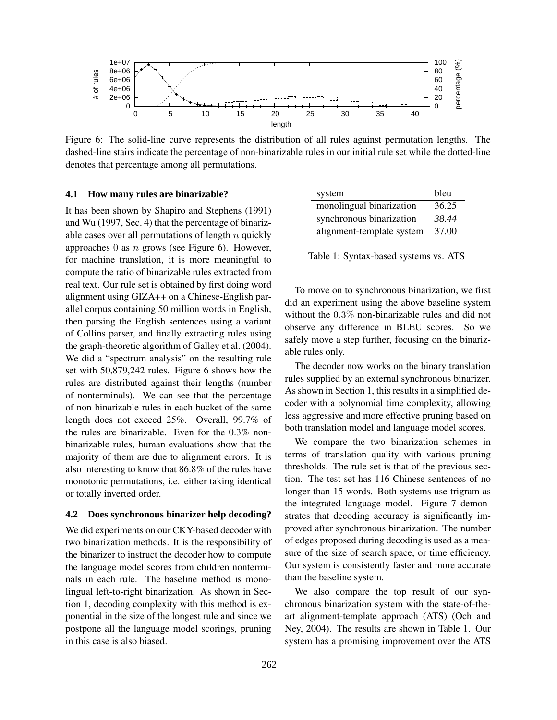

Figure 6: The solid-line curve represents the distribution of all rules against permutation lengths. The dashed-line stairs indicate the percentage of non-binarizable rules in our initial rule set while the dotted-line denotes that percentage among all permutations.

### **4.1 How many rules are binarizable?**

It has been shown by Shapiro and Stephens (1991) and Wu (1997, Sec. 4) that the percentage of binarizable cases over all permutations of length  $n$  quickly approaches 0 as  $n$  grows (see Figure 6). However, for machine translation, it is more meaningful to compute the ratio of binarizable rules extracted from real text. Our rule set is obtained by first doing word alignment using GIZA++ on a Chinese-English parallel corpus containing 50 million words in English, then parsing the English sentences using a variant of Collins parser, and finally extracting rules using the graph-theoretic algorithm of Galley et al. (2004). We did a "spectrum analysis" on the resulting rule set with 50,879,242 rules. Figure 6 shows how the rules are distributed against their lengths (number of nonterminals). We can see that the percentage of non-binarizable rules in each bucket of the same length does not exceed 25%. Overall, 99.7% of the rules are binarizable. Even for the 0.3% nonbinarizable rules, human evaluations show that the majority of them are due to alignment errors. It is also interesting to know that 86.8% of the rules have monotonic permutations, i.e. either taking identical or totally inverted order.

#### **4.2 Does synchronous binarizer help decoding?**

We did experiments on our CKY-based decoder with two binarization methods. It is the responsibility of the binarizer to instruct the decoder how to compute the language model scores from children nonterminals in each rule. The baseline method is monolingual left-to-right binarization. As shown in Section 1, decoding complexity with this method is exponential in the size of the longest rule and since we postpone all the language model scorings, pruning in this case is also biased.

| system                    | bleu  |
|---------------------------|-------|
| monolingual binarization  | 36.25 |
| synchronous binarization  | 38.44 |
| alignment-template system | 37.00 |

Table 1: Syntax-based systems vs. ATS

To move on to synchronous binarization, we first did an experiment using the above baseline system without the 0.3% non-binarizable rules and did not observe any difference in BLEU scores. So we safely move a step further, focusing on the binarizable rules only.

The decoder now works on the binary translation rules supplied by an external synchronous binarizer. As shown in Section 1, this results in a simplified decoder with a polynomial time complexity, allowing less aggressive and more effective pruning based on both translation model and language model scores.

We compare the two binarization schemes in terms of translation quality with various pruning thresholds. The rule set is that of the previous section. The test set has 116 Chinese sentences of no longer than 15 words. Both systems use trigram as the integrated language model. Figure 7 demonstrates that decoding accuracy is significantly improved after synchronous binarization. The number of edges proposed during decoding is used as a measure of the size of search space, or time efficiency. Our system is consistently faster and more accurate than the baseline system.

We also compare the top result of our synchronous binarization system with the state-of-theart alignment-template approach (ATS) (Och and Ney, 2004). The results are shown in Table 1. Our system has a promising improvement over the ATS